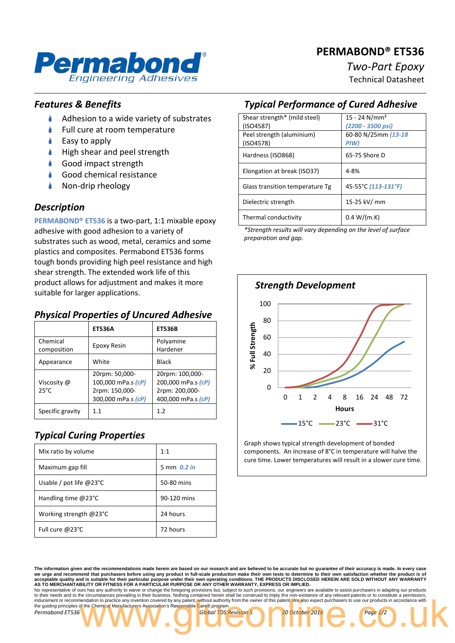# **PERMABOND® ET536**



# *Two-Part Epoxy*

Technical Datasheet

### *Features & Benefits*

- ۸ Adhesion to a wide variety of substrates
- Full cure at room temperature
- Easy to apply
- High shear and peel strength
- Good impact strength
- Good chemical resistance
- Non-drip rheology

#### *Description*

**PERMABOND® ET536** is a two-part, 1:1 mixable epoxy adhesive with good adhesion to a variety of substrates such as wood, metal, ceramics and some plastics and composites. Permabond ET536 forms tough bonds providing high peel resistance and high shear strength. The extended work life of this product allows for adjustment and makes it more suitable for larger applications.

## *Physical Properties of Uncured Adhesive*

|                               | <b>ET536A</b>                                                                | <b>ET536B</b>                                                                 |
|-------------------------------|------------------------------------------------------------------------------|-------------------------------------------------------------------------------|
| Chemical<br>composition       | Epoxy Resin                                                                  | Polyamine<br>Hardener                                                         |
| Appearance                    | White                                                                        | Black                                                                         |
| Viscosity @<br>$25^{\circ}$ C | 20rpm: 50,000-<br>100,000 mPa.s (cP)<br>2rpm: 150,000-<br>300,000 mPa.s (cP) | 20rpm: 100,000-<br>200,000 mPa.s (cP)<br>2rpm: 200,000-<br>400,000 mPa.s (cP) |
| Specific gravity              | 1.1                                                                          | 1.2                                                                           |

# *Typical Curing Properties*

| Mix ratio by volume              | 1:1         |
|----------------------------------|-------------|
| Maximum gap fill                 | 5 mm 0.2 in |
| Usable / pot life $@23^{\circ}C$ | 50-80 mins  |
| Handling time $@23°C$            | 90-120 mins |
| Working strength @23°C           | 24 hours    |
| Full cure @23°C                  | 72 hours    |

# *Typical Performance of Cured Adhesive*

| Shear strength* (mild steel)    | $15 - 24$ N/mm <sup>2</sup> |
|---------------------------------|-----------------------------|
| (ISO4587)                       | (2200 - 3500 psi)           |
| Peel strength (aluminium)       | 60-80 N/25mm (13-18         |
| (ISO4578)                       | PIW)                        |
| Hardness (ISO868)               | 65-75 Shore D               |
|                                 |                             |
| Elongation at break (ISO37)     | $4 - 8%$                    |
| Glass transition temperature Tg | 45-55°C (113-131°F)         |
|                                 |                             |
| Dielectric strength             | 15-25 kV/ mm                |
| Thermal conductivity            | 0.4 W/(m.K)                 |

*\*Strength results will vary depending on the level of surface preparation and gap.*



Graph shows typical strength development of bonded components. An increase of 8°C in temperature will halve the cure time. Lower temperatures will result in a slower cure time.

**The information given and the recommendations made herein are based on our research and are believed to be accurate but no guarantee of their accuracy is made. In every case**  we urge and recommend that purchasers before using any product in full-scale production make their own tests to determine to their own satisfaction whether the product is of<br>acceptable quality and is suitable for their par

to their needs and to the circumstances prevailing in their business. Nothing contained herein shall be construed to imply the non-existence of any relevant patents or to constitute a permission, inducement or recommendation to practice any invention covered by any patent, without authority from the owner of this patent. We also expect purchasers to use our products in accordance with the guiding principles of the Chemical Manufacturers Association's Responsible Care® program *Permabond ET536 Global TDS Revision 5 20 October 2016 Page 1/2* For the Chemical Manufacturers Association's Responsible Care® program.<br>The Chemical Manufacturers Association's Responsible Care® program.<br>The Chemical Manufacturers Association's Responsible Care® program.<br>The Chemical M